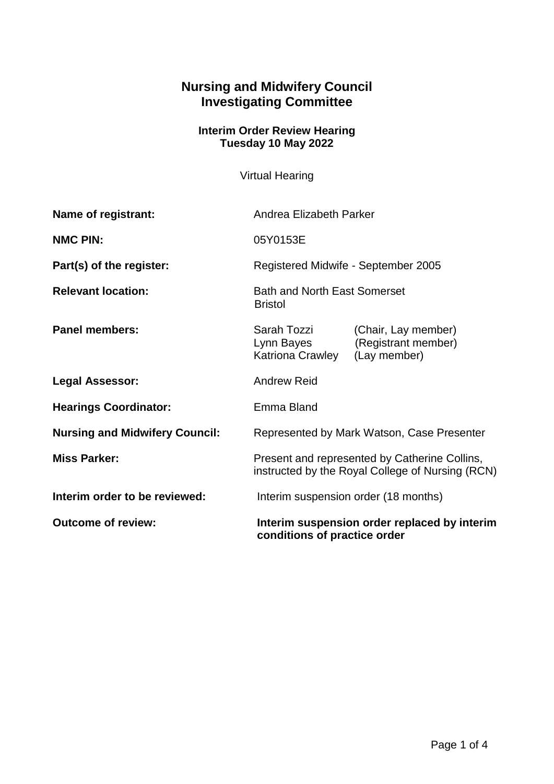## **Nursing and Midwifery Council Investigating Committee**

## **Interim Order Review Hearing Tuesday 10 May 2022**

Virtual Hearing

| <b>Outcome of review:</b>             | Interim suspension order replaced by interim<br>conditions of practice order                      |                                                            |
|---------------------------------------|---------------------------------------------------------------------------------------------------|------------------------------------------------------------|
| Interim order to be reviewed:         | Interim suspension order (18 months)                                                              |                                                            |
| <b>Miss Parker:</b>                   | Present and represented by Catherine Collins,<br>instructed by the Royal College of Nursing (RCN) |                                                            |
| <b>Nursing and Midwifery Council:</b> | Represented by Mark Watson, Case Presenter                                                        |                                                            |
| <b>Hearings Coordinator:</b>          | Emma Bland                                                                                        |                                                            |
| <b>Legal Assessor:</b>                | <b>Andrew Reid</b>                                                                                |                                                            |
| <b>Panel members:</b>                 | Sarah Tozzi<br>Lynn Bayes<br>Katriona Crawley                                                     | (Chair, Lay member)<br>(Registrant member)<br>(Lay member) |
| <b>Relevant location:</b>             | <b>Bath and North East Somerset</b><br><b>Bristol</b>                                             |                                                            |
| Part(s) of the register:              | Registered Midwife - September 2005                                                               |                                                            |
| <b>NMC PIN:</b>                       | 05Y0153E                                                                                          |                                                            |
| <b>Name of registrant:</b>            | Andrea Elizabeth Parker                                                                           |                                                            |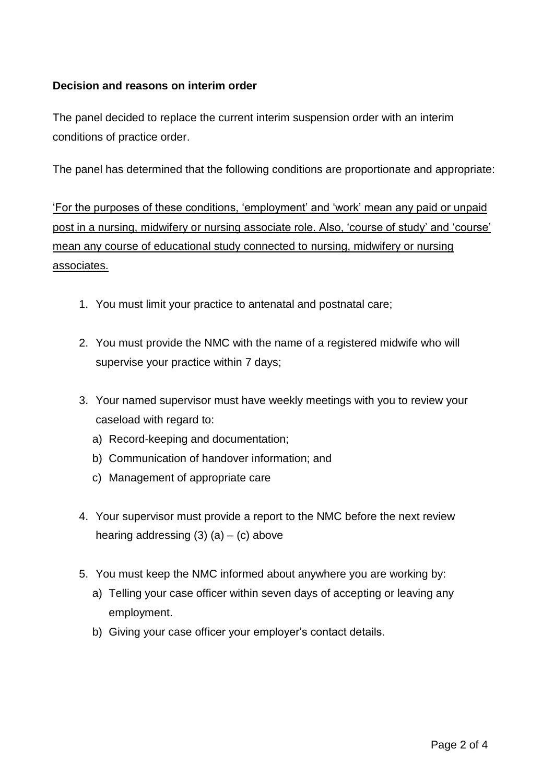## **Decision and reasons on interim order**

The panel decided to replace the current interim suspension order with an interim conditions of practice order.

The panel has determined that the following conditions are proportionate and appropriate:

'For the purposes of these conditions, 'employment' and 'work' mean any paid or unpaid post in a nursing, midwifery or nursing associate role. Also, 'course of study' and 'course' mean any course of educational study connected to nursing, midwifery or nursing associates.

- 1. You must limit your practice to antenatal and postnatal care;
- 2. You must provide the NMC with the name of a registered midwife who will supervise your practice within 7 days;
- 3. Your named supervisor must have weekly meetings with you to review your caseload with regard to:
	- a) Record-keeping and documentation;
	- b) Communication of handover information; and
	- c) Management of appropriate care
- 4. Your supervisor must provide a report to the NMC before the next review hearing addressing  $(3)$   $(a)$  –  $(c)$  above
- 5. You must keep the NMC informed about anywhere you are working by:
	- a) Telling your case officer within seven days of accepting or leaving any employment.
	- b) Giving your case officer your employer's contact details.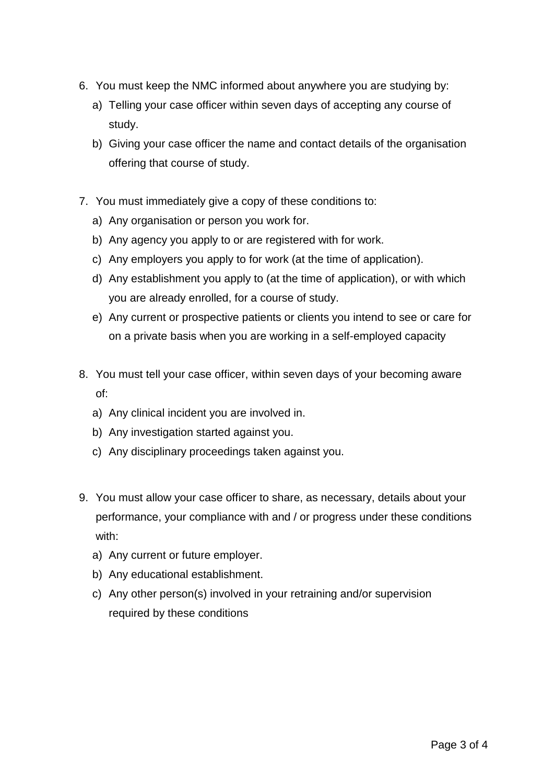- 6. You must keep the NMC informed about anywhere you are studying by:
	- a) Telling your case officer within seven days of accepting any course of study.
	- b) Giving your case officer the name and contact details of the organisation offering that course of study.
- 7. You must immediately give a copy of these conditions to:
	- a) Any organisation or person you work for.
	- b) Any agency you apply to or are registered with for work.
	- c) Any employers you apply to for work (at the time of application).
	- d) Any establishment you apply to (at the time of application), or with which you are already enrolled, for a course of study.
	- e) Any current or prospective patients or clients you intend to see or care for on a private basis when you are working in a self-employed capacity
- 8. You must tell your case officer, within seven days of your becoming aware of:
	- a) Any clinical incident you are involved in.
	- b) Any investigation started against you.
	- c) Any disciplinary proceedings taken against you.
- 9. You must allow your case officer to share, as necessary, details about your performance, your compliance with and / or progress under these conditions with:
	- a) Any current or future employer.
	- b) Any educational establishment.
	- c) Any other person(s) involved in your retraining and/or supervision required by these conditions